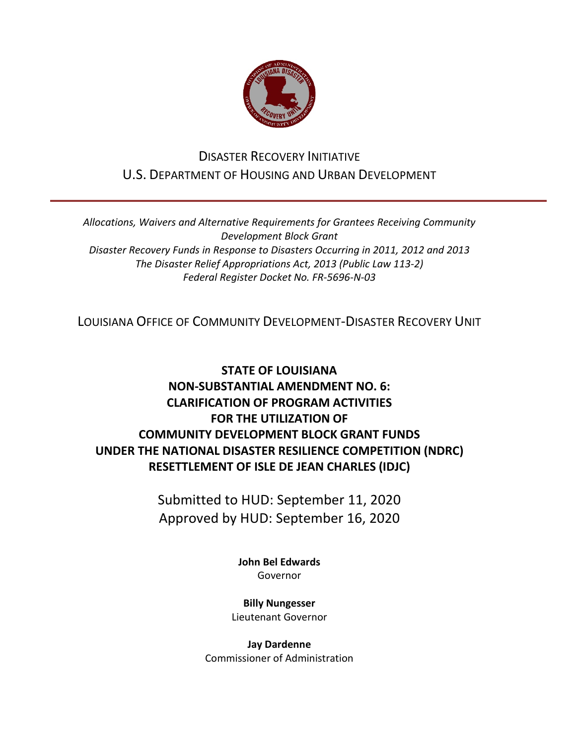

## DISASTER RECOVERY INITIATIVE U.S. DEPARTMENT OF HOUSING AND URBAN DEVELOPMENT

*Allocations, Waivers and Alternative Requirements for Grantees Receiving Community Development Block Grant Disaster Recovery Funds in Response to Disasters Occurring in 2011, 2012 and 2013 The Disaster Relief Appropriations Act, 2013 (Public Law 113-2) Federal Register Docket No. FR-5696-N-03*

LOUISIANA OFFICE OF COMMUNITY DEVELOPMENT-DISASTER RECOVERY UNIT

## **STATE OF LOUISIANA NON-SUBSTANTIAL AMENDMENT NO. 6: CLARIFICATION OF PROGRAM ACTIVITIES FOR THE UTILIZATION OF COMMUNITY DEVELOPMENT BLOCK GRANT FUNDS UNDER THE NATIONAL DISASTER RESILIENCE COMPETITION (NDRC) RESETTLEMENT OF ISLE DE JEAN CHARLES (IDJC)**

Submitted to HUD: September 11, 2020 Approved by HUD: September 16, 2020

> **[John Bel Edwards](https://www.facebook.com/LouisianaGov/)** Governor

**Billy Nungesser** Lieutenant Governor

**Jay Dardenne** Commissioner of Administration